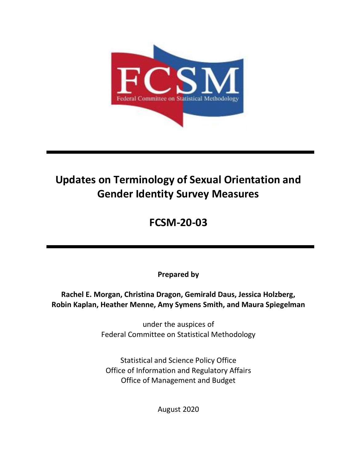

# **Updates on Terminology of Sexual Orientation and Gender Identity Survey Measures**

## **FCSM-20-03**

**Prepared by** 

 **Rachel E. Morgan, Christina Dragon, Gemirald Daus, Jessica Holzberg, Robin Kaplan, Heather Menne, Amy Symens Smith, and Maura Spiegelman** 

> Federal Committee on Statistical Methodology under the auspices of

 Statistical and Science Policy Office Office of Information and Regulatory Affairs Office of Management and Budget

August 2020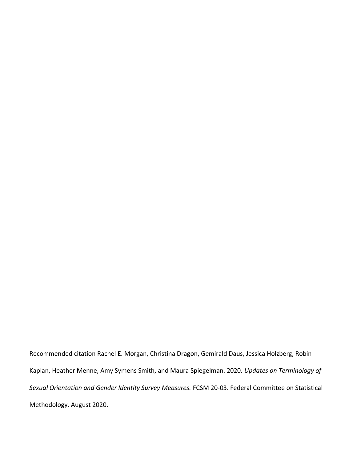Kaplan, Heather Menne, Amy Symens Smith, and Maura Spiegelman. 2020. *Updates on Terminology of Sexual Orientation and Gender Identity Survey Measures.* FCSM 20-03. Federal Committee on Statistical Recommended citation Rachel E. Morgan, Christina Dragon, Gemirald Daus, Jessica Holzberg, Robin Methodology. August 2020.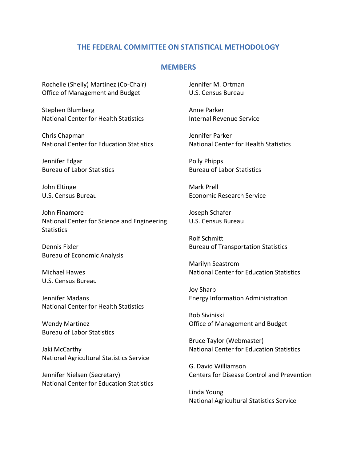### **THE FEDERAL COMMITTEE ON STATISTICAL METHODOLOGY**

#### **MEMBERS**

 Office of Management and Budget Rochelle (Shelly) Martinez (Co-Chair)

 National Center for Health Statistics Stephen Blumberg

 National Center for Education Statistics Chris Chapman

 Bureau of Labor Statistics Jennifer Edgar

 U.S. Census Bureau John Eltinge

 National Center for Science and Engineering John Finamore **Statistics** 

 Bureau of Economic Analysis Dennis Fixler

 U.S. Census Bureau Michael Hawes

 National Center for Health Statistics Jennifer Madans

 Bureau of Labor Statistics Wendy Martinez

Jaki McCarthy National Agricultural Statistics Service

 National Center for Education Statistics Jennifer Nielsen (Secretary)

 U.S. Census Bureau Jennifer M. Ortman

Anne Parker Internal Revenue Service

 National Center for Health Statistics Jennifer Parker

 Bureau of Labor Statistics Polly Phipps

Mark Prell Economic Research Service

 U.S. Census Bureau Joseph Schafer

Rolf Schmitt Bureau of Transportation Statistics

 National Center for Education Statistics Marilyn Seastrom

 Energy Information Administration Joy Sharp

 Office of Management and Budget Bob Siviniski

 National Center for Education Statistics Bruce Taylor (Webmaster)

 Centers for Disease Control and Prevention G. David Williamson

Linda Young National Agricultural Statistics Service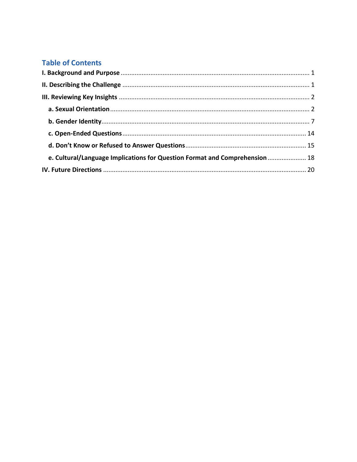## **Table of Contents**

| e. Cultural/Language Implications for Question Format and Comprehension  18 |  |
|-----------------------------------------------------------------------------|--|
|                                                                             |  |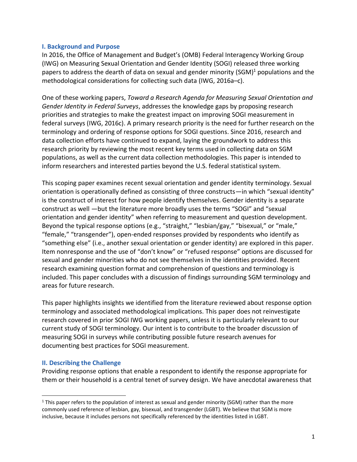#### <span id="page-4-0"></span>**I. Background and Purpose**

 In 2016, the Office of Management and Budget's (OMB) Federal Interagency Working Group (IWG) on Measuring Sexual Orientation and Gender Identity (SOGI) released three working papers to address the dearth of data on sexual and gender minority (SGM)<sup>1</sup> populations and the methodological considerations for collecting such data (IWG, 2016a–c).

 One of these working papers, *Toward a Research Agenda for Measuring Sexual Orientation and Gender Identity in Federal Surveys*, addresses the knowledge gaps by proposing research priorities and strategies to make the greatest impact on improving SOGI measurement in federal surveys (IWG, 2016c). A primary research priority is the need for further research on the terminology and ordering of response options for SOGI questions. Since 2016, research and data collection efforts have continued to expand, laying the groundwork to address this research priority by reviewing the most recent key terms used in collecting data on SGM populations, as well as the current data collection methodologies. This paper is intended to inform researchers and interested parties beyond the U.S. federal statistical system.

 This scoping paper examines recent sexual orientation and gender identity terminology. Sexual orientation is operationally defined as consisting of three constructs—in which "sexual identity" is the construct of interest for how people identify themselves. Gender identity is a separate construct as well —but the literature more broadly uses the terms "SOGI" and "sexual orientation and gender identity" when referring to measurement and question development. "female," "transgender"), open-ended responses provided by respondents who identify as "something else" (i.e., another sexual orientation or gender identity) are explored in this paper. Item nonresponse and the use of "don't know" or "refused response" options are discussed for sexual and gender minorities who do not see themselves in the identities provided. Recent research examining question format and comprehension of questions and terminology is included. This paper concludes with a discussion of findings surrounding SGM terminology and Beyond the typical response options (e.g., "straight," "lesbian/gay," "bisexual," or "male," areas for future research.

 This paper highlights insights we identified from the literature reviewed about response option terminology and associated methodological implications. This paper does not reinvestigate research covered in prior SOGI IWG working papers, unless it is particularly relevant to our current study of SOGI terminology. Our intent is to contribute to the broader discussion of measuring SOGI in surveys while contributing possible future research avenues for documenting best practices for SOGI measurement.

#### <span id="page-4-1"></span> **II. Describing the Challenge**

 Providing response options that enable a respondent to identify the response appropriate for them or their household is a central tenet of survey design. We have anecdotal awareness that

 $1$  This paper refers to the population of interest as sexual and gender minority (SGM) rather than the more commonly used reference of lesbian, gay, bisexual, and transgender (LGBT). We believe that SGM is more inclusive, because it includes persons not specifically referenced by the identities listed in LGBT.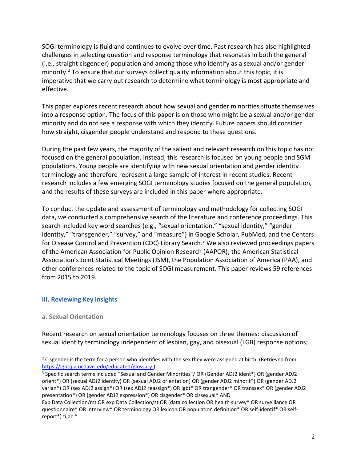SOGI terminology is fluid and continues to evolve over time. Past research has also highlighted challenges in selecting question and response terminology that resonates in both the general (i.e., straight cisgender) population and among those who identify as a sexual and/or gender minority.<sup>2</sup> To ensure that our surveys collect quality information about this topic, it is imperative that we carry out research to determine what terminology is most appropriate and effective.

 This paper explores recent research about how sexual and gender minorities situate themselves into a response option. The focus of this paper is on those who might be a sexual and/or gender minority and do not see a response with which they identify. Future papers should consider how straight, cisgender people understand and respond to these questions.

 During the past few years, the majority of the salient and relevant research on this topic has not focused on the general population. Instead, this research is focused on young people and SGM populations. Young people are identifying with new sexual orientation and gender identity terminology and therefore represent a large sample of interest in recent studies. Recent research includes a few emerging SOGI terminology studies focused on the general population, and the results of these surveys are included in this paper where appropriate.

 To conduct the update and assessment of terminology and methodology for collecting SOGI search included key word searches (e.g., "sexual orientation," "sexual identity," "gender for Disease Control and Prevention (CDC) Library Search.<sup>3</sup> We also reviewed proceedings papers of the American Association for Public Opinion Research (AAPOR), the American Statistical Association's Joint Statistical Meetings (JSM), the Population Association of America (PAA), and other conferences related to the topic of SOGI measurement. This paper reviews 59 references from 2015 to 2019. data, we conducted a comprehensive search of the literature and conference proceedings. This identity," "transgender," "survey," and "measure") in Google Scholar, PubMed, and the Centers

#### <span id="page-5-0"></span> **III. Reviewing Key Insights**

#### <span id="page-5-1"></span>**a. Sexual Orientation**

 Recent research on sexual orientation terminology focuses on three themes: discussion of sexual identity terminology independent of lesbian, gay, and bisexual (LGB) response options;

<sup>&</sup>lt;sup>2</sup> Cisgender is the term for a person who identifies with the sex they were assigned at birth. (Retrieved from [https://lgbtqia.ucdavis.edu/educated/glossary.](https://lgbtqia.ucdavis.edu/educated/glossary))<br><sup>3</sup> Specific search terms included "Sexual and Gender Minorities"/ OR (Gender ADJ2 ident\*) OR (gender ADJ2

orient\*) OR (sexual ADJ2 identity) OR (sexual ADJ2 orientation) OR (gender ADJ2 minorit\*) OR (gender ADJ2 varian\*) OR (sex ADJ2 assign\*) OR (sex ADJ2 reassign\*) OR lgbt\* OR trangender\* OR transsex\* OR (gender ADJ2 presentation\*) OR (gender ADJ2 expression\*) OR cisgender\* OR cissexual\* AND

Exp Data Collection/mt OR exp Data Collection/st OR (data collection OR health survey\* OR surveillance OR questionnaire\* OR interview\* OR terminology OR lexicon OR population definition\* OR self-identif\* OR selfreport\*).ti,ab."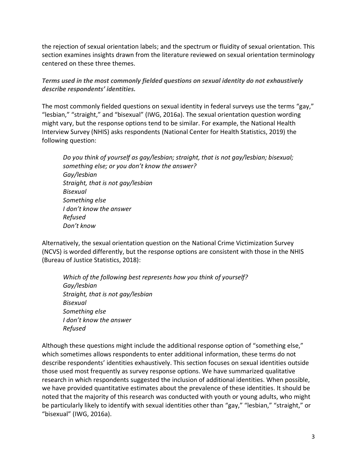the rejection of sexual orientation labels; and the spectrum or fluidity of sexual orientation. This section examines insights drawn from the literature reviewed on sexual orientation terminology centered on these three themes.

 *Terms used in the most commonly fielded questions on sexual identity do not exhaustively describe respondents' identities.*

 The most commonly fielded questions on sexual identity in federal surveys use the terms "gay," "lesbian," "straight," and "bisexual" (IWG, 2016a). The sexual orientation question wording might vary, but the response options tend to be similar. For example, the National Health Interview Survey (NHIS) asks respondents (National Center for Health Statistics, 2019) the following question:

 *Do you think of yourself as gay/lesbian; straight, that is not gay/lesbian; bisexual; something else; or you don't know the answer? Gay/lesbian Straight, that is not gay/lesbian Bisexual Something else I don't know the answer Refused Don't know*

 Alternatively, the sexual orientation question on the National Crime Victimization Survey (NCVS) is worded differently, but the response options are consistent with those in the NHIS (Bureau of Justice Statistics, 2018):

 *Which of the following best represents how you think of yourself? Gay/lesbian Straight, that is not gay/lesbian Bisexual Something else I don't know the answer Refused* 

 Although these questions might include the additional response option of "something else," which sometimes allows respondents to enter additional information, these terms do not those used most frequently as survey response options. We have summarized qualitative research in which respondents suggested the inclusion of additional identities. When possible, noted that the majority of this research was conducted with youth or young adults, who might be particularly likely to identify with sexual identities other than "gay," "lesbian," "straight," or describe respondents' identities exhaustively. This section focuses on sexual identities outside we have provided quantitative estimates about the prevalence of these identities. It should be "bisexual" (IWG, 2016a).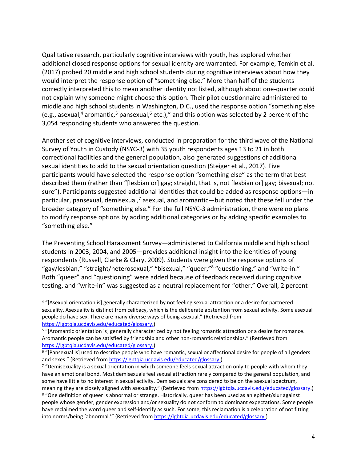additional closed response options for sexual identity are warranted. For example, Temkin et al. (2017) probed 20 middle and high school students during cognitive interviews about how they would interpret the response option of "something else." More than half of the students correctly interpreted this to mean another identity not listed, although about one-quarter could not explain why someone might choose this option. Their pilot questionnaire administered to middle and high school students in Washington, D.C., used the response option "something else (e.g., asexual,<sup>4</sup> aromantic,<sup>5</sup> pansexual,<sup>6</sup> etc.)," and this option was selected by 2 percent of the 3,054 responding students who answered the question. Qualitative research, particularly cognitive interviews with youth, has explored whether

 Another set of cognitive interviews, conducted in preparation for the third wave of the National Survey of Youth in Custody (NSYC-3) with 35 youth respondents ages 13 to 21 in both correctional facilities and the general population, also generated suggestions of additional sexual identities to add to the sexual orientation question (Steiger et al., 2017). Five participants would have selected the response option "something else" as the term that best described them (rather than "[lesbian or] gay; straight, that is, not [lesbian or] gay; bisexual; not sure"). Participants suggested additional identities that could be added as response options—in broader category of "something else." For the full NSYC-3 administration, there were no plans to modify response options by adding additional categories or by adding specific examples to particular, pansexual, demisexual,<sup>7</sup> asexual, and aromantic—but noted that these fell under the "something else."

 The Preventing School Harassment Survey—administered to California middle and high school students in 2003, 2004, and 2005—provides additional insight into the identities of young respondents (Russell, Clarke & Clary, 2009). Students were given the response options of testing, and "write-in" was suggested as a neutral replacement for "other." Overall, 2 percent "gay/lesbian," "straight/heterosexual," "bisexual," "queer,"<sup>8</sup> "questioning," and "write-in." Both "queer" and "questioning" were added because of feedback received during cognitive

<sup>4</sup>"[Asexual orientation is] generally characterized by not feeling sexual attraction or a desire for partnered sexuality. Asexuality is distinct from celibacy, which is the deliberate abstention from sexual activity. Some asexual people do have sex. There are many diverse ways of being asexual." (Retrieved from

[https://lgbtqia.ucdavis.edu/educated/glossary.](https://lgbtqia.ucdavis.edu/educated/glossary))<br><sup>5</sup> "[Aromantic orientation is] generally characterized by not feeling romantic attraction or a desire for romance. Aromantic people can be satisfied by friendship and other non-romantic relationships." (Retrieved from [https://lgbtqia.ucdavis.edu/educated/glossary.](https://lgbtqia.ucdavis.edu/educated/glossary))<br><sup>6</sup> "[Pansexual is] used to describe people who have romantic, sexual or affectional desire for people of all genders

and sexes." (Retrieved from [https://lgbtqia.ucdavis.edu/educated/glossary.](https://lgbtqia.ucdavis.edu/educated/glossary))<br><sup>7</sup> "Demisexuality is a sexual orientation in which someone feels sexual attraction only to people with whom they

have an emotional bond. Most demisexuals feel sexual attraction rarely compared to the general population, and some have little to no interest in sexual activity. Demisexuals are considered to be on the asexual spectrum, meaning they are closely aligned with asexuality." (Retrieved from [https://lgbtqia.ucdavis.edu/educated/glossary.\)](https://lgbtqia.ucdavis.edu/educated/glossary)<br><sup>8</sup> "One definition of queer is abnormal or strange. Historically, queer has been used as an epithet/slur a

people whose gender, gender expression and/or sexuality do not conform to dominant expectations. Some people have reclaimed the word queer and self-identify as such. For some, this reclamation is a celebration of not fitting into norms/being 'abnormal.'" (Retrieved from [https://lgbtqia.ucdavis.edu/educated/glossary.](https://lgbtqia.ucdavis.edu/educated/glossary))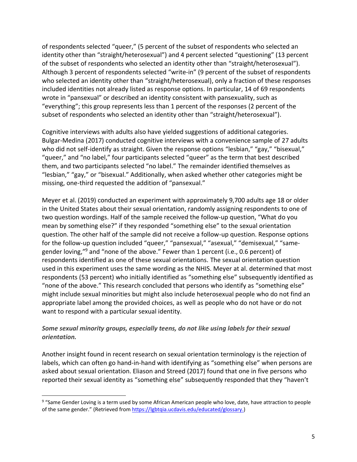of respondents selected "queer," (5 percent of the subset of respondents who selected an identity other than "straight/heterosexual") and 4 percent selected "questioning" (13 percent of the subset of respondents who selected an identity other than "straight/heterosexual"). Although 3 percent of respondents selected "write-in" (9 percent of the subset of respondents who selected an identity other than "straight/heterosexual), only a fraction of these responses included identities not already listed as response options. In particular, 14 of 69 respondents wrote in "pansexual" or described an identity consistent with pansexuality, such as "everything"; this group represents less than 1 percent of the responses (2 percent of the subset of respondents who selected an identity other than "straight/heterosexual").

 Cognitive interviews with adults also have yielded suggestions of additional categories. Bulgar-Medina (2017) conducted cognitive interviews with a convenience sample of 27 adults who did not self-identify as straight. Given the response options "lesbian," "gay," "bisexual," "queer," and "no label," four participants selected "queer" as the term that best described them, and two participants selected "no label." The remainder identified themselves as "lesbian," "gay," or "bisexual." Additionally, when asked whether other categories might be missing, one-third requested the addition of "pansexual."

 Meyer et al. (2019) conducted an experiment with approximately 9,700 adults age 18 or older in the United States about their sexual orientation, randomly assigning respondents to one of two question wordings. Half of the sample received the follow-up question, "What do you mean by something else?" if they responded "something else" to the sexual orientation question. The other half of the sample did not receive a follow-up question. Response options for the follow-up question included "queer," "pansexual," "asexual," "demisexual," "samegender loving,"<sup>9</sup> and "none of the above." Fewer than 1 percent (i.e., 0.6 percent) of respondents identified as one of these sexual orientations. The sexual orientation question used in this experiment uses the same wording as the NHIS. Meyer at al. determined that most respondents (53 percent) who initially identified as "something else" subsequently identified as "none of the above." This research concluded that persons who identify as "something else" might include sexual minorities but might also include heterosexual people who do not find an appropriate label among the provided choices, as well as people who do not have or do not want to respond with a particular sexual identity.

#### *Some sexual minority groups, especially teens, do not like using labels for their sexual orientation.*

 Another insight found in recent research on sexual orientation terminology is the rejection of labels, which can often go hand-in-hand with identifying as "something else" when persons are asked about sexual orientation. Eliason and Streed (2017) found that one in five persons who reported their sexual identity as "something else" subsequently responded that they "haven't

<sup>9</sup>"Same Gender Loving is a term used by some African American people who love, date, have attraction to people of the same gender." (Retrieved fro[m https://lgbtqia.ucdavis.edu/educated/glossary.\)](https://lgbtqia.ucdavis.edu/educated/glossary)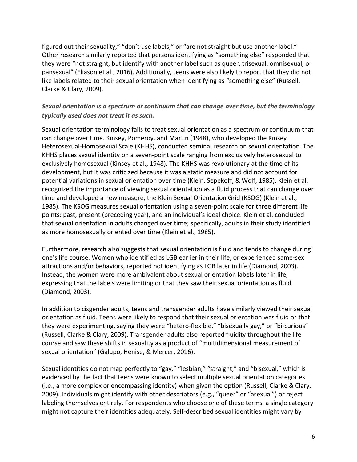figured out their sexuality," "don't use labels," or "are not straight but use another label." Other research similarly reported that persons identifying as "something else" responded that they were "not straight, but identify with another label such as queer, trisexual, omnisexual, or pansexual" (Eliason et al., 2016). Additionally, teens were also likely to report that they did not like labels related to their sexual orientation when identifying as "something else" (Russell, Clarke & Clary, 2009).

## *Sexual orientation is a spectrum or continuum that can change over time, but the terminology typically used does not treat it as such.*

 Sexual orientation terminology fails to treat sexual orientation as a spectrum or continuum that can change over time. Kinsey, Pomeroy, and Martin (1948), who developed the Kinsey Heterosexual-Homosexual Scale (KHHS), conducted seminal research on sexual orientation. The KHHS places sexual identity on a seven-point scale ranging from exclusively heterosexual to development, but it was criticized because it was a static measure and did not account for potential variations in sexual orientation over time (Klein, Sepekoff, & Wolf, 1985). Klein et al. recognized the importance of viewing sexual orientation as a fluid process that can change over time and developed a new measure, the Klein Sexual Orientation Grid (KSOG) (Klein et al., 1985). The KSOG measures sexual orientation using a seven-point scale for three different life that sexual orientation in adults changed over time; specifically, adults in their study identified as more homosexually oriented over time (Klein et al., 1985). exclusively homosexual (Kinsey et al., 1948). The KHHS was revolutionary at the time of its points: past, present (preceding year), and an individual's ideal choice. Klein et al. concluded

 Furthermore, research also suggests that sexual orientation is fluid and tends to change during one's life course. Women who identified as LGB earlier in their life, or experienced same-sex attractions and/or behaviors, reported not identifying as LGB later in life (Diamond, 2003). Instead, the women were more ambivalent about sexual orientation labels later in life, expressing that the labels were limiting or that they saw their sexual orientation as fluid (Diamond, 2003).

 In addition to cisgender adults, teens and transgender adults have similarly viewed their sexual orientation as fluid. Teens were likely to respond that their sexual orientation was fluid or that they were experimenting, saying they were "hetero-flexible," "bisexually gay," or "bi-curious" course and saw these shifts in sexuality as a product of "multidimensional measurement of (Russell, Clarke & Clary, 2009). Transgender adults also reported fluidity throughout the life sexual orientation" (Galupo, Henise, & Mercer, 2016).

 Sexual identities do not map perfectly to "gay," "lesbian," "straight," and "bisexual," which is evidenced by the fact that teens were known to select multiple sexual orientation categories (i.e., a more complex or encompassing identity) when given the option (Russell, Clarke & Clary, 2009). Individuals might identify with other descriptors (e.g., "queer" or "asexual") or reject labeling themselves entirely. For respondents who choose one of these terms, a single category might not capture their identities adequately. Self-described sexual identities might vary by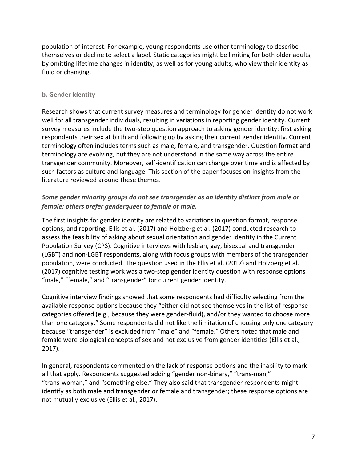population of interest. For example, young respondents use other terminology to describe themselves or decline to select a label. Static categories might be limiting for both older adults, by omitting lifetime changes in identity, as well as for young adults, who view their identity as fluid or changing.

#### <span id="page-10-0"></span>**b. Gender Identity**

 Research shows that current survey measures and terminology for gender identity do not work well for all transgender individuals, resulting in variations in reporting gender identity. Current survey measures include the two-step question approach to asking gender identity: first asking respondents their sex at birth and following up by asking their current gender identity. Current terminology often includes terms such as male, female, and transgender. Question format and terminology are evolving, but they are not understood in the same way across the entire transgender community. Moreover, self-identification can change over time and is affected by such factors as culture and language. This section of the paper focuses on insights from the literature reviewed around these themes.

### *Some gender minority groups do not see transgender as an identity distinct from male or female; others prefer genderqueer to female or male.*

 The first insights for gender identity are related to variations in question format, response options, and reporting. Ellis et al. (2017) and Holzberg et al. (2017) conducted research to assess the feasibility of asking about sexual orientation and gender identity in the Current Population Survey (CPS). Cognitive interviews with lesbian, gay, bisexual and transgender (LGBT) and non-LGBT respondents, along with focus groups with members of the transgender population, were conducted. The question used in the Ellis et al. (2017) and Holzberg et al. (2017) cognitive testing work was a two-step gender identity question with response options "male," "female," and "transgender" for current gender identity.

 Cognitive interview findings showed that some respondents had difficulty selecting from the available response options because they "either did not see themselves in the list of response categories offered (e.g., because they were gender-fluid), and/or they wanted to choose more than one category." Some respondents did not like the limitation of choosing only one category because "transgender" is excluded from "male" and "female." Others noted that male and female were biological concepts of sex and not exclusive from gender identities (Ellis et al., 2017).

 In general, respondents commented on the lack of response options and the inability to mark all that apply. Respondents suggested adding "gender non-binary," "trans-man," "trans-woman," and "something else." They also said that transgender respondents might identify as both male and transgender or female and transgender; these response options are not mutually exclusive (Ellis et al., 2017).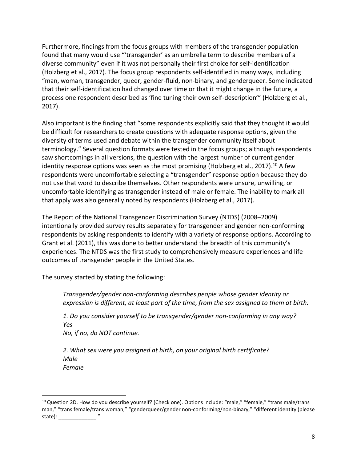Furthermore, findings from the focus groups with members of the transgender population found that many would use "'transgender' as an umbrella term to describe members of a diverse community" even if it was not personally their first choice for self-identification (Holzberg et al., 2017). The focus group respondents self-identified in many ways, including that their self-identification had changed over time or that it might change in the future, a process one respondent described as 'fine tuning their own self-description'" (Holzberg et al., "man, woman, transgender, queer, gender-fluid, non-binary, and genderqueer. Some indicated 2017).

 Also important is the finding that "some respondents explicitly said that they thought it would be difficult for researchers to create questions with adequate response options, given the diversity of terms used and debate within the transgender community itself about terminology." Several question formats were tested in the focus groups; although respondents saw shortcomings in all versions, the question with the largest number of current gender identity response options was seen as the most promising (Holzberg et al., 2017).<sup>10</sup> A few respondents were uncomfortable selecting a "transgender" response option because they do uncomfortable identifying as transgender instead of male or female. The inability to mark all that apply was also generally noted by respondents (Holzberg et al., 2017). not use that word to describe themselves. Other respondents were unsure, unwilling, or

 The Report of the National Transgender Discrimination Survey (NTDS) (2008–2009) intentionally provided survey results separately for transgender and gender non-conforming respondents by asking respondents to identify with a variety of response options. According to Grant et al. (2011), this was done to better understand the breadth of this community's experiences. The NTDS was the first study to comprehensively measure experiences and life outcomes of transgender people in the United States.

The survey started by stating the following:

 *Transgender/gender non-conforming describes people whose gender identity or expression is different, at least part of the time, from the sex assigned to them at birth.* 

 *1. Do you consider yourself to be transgender/gender non-conforming in any way? Yes* 

 *No, if no, do NOT continue.* 

 *2. What sex were you assigned at birth, on your original birth certificate? Male Female* 

<sup>&</sup>lt;sup>10</sup> Question 2D. How do you describe yourself? (Check one). Options include: "male," "female," "trans male/trans man," "trans female/trans woman," "genderqueer/gender non-conforming/non-binary," "different identity (please state): \_\_\_\_\_\_\_\_\_\_\_\_\_\_\_\_\_\_."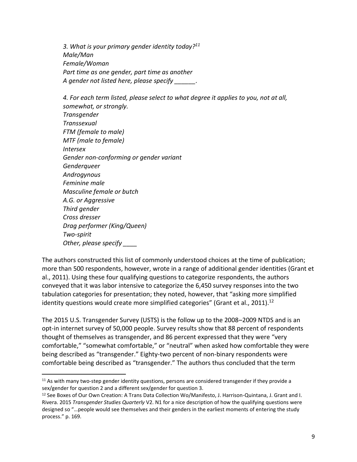*3. What is your primary gender identity today?11 A gender not listed here, please specify \_\_\_\_\_\_. Male/Man Female/Woman Part time as one gender, part time as another* 

 *4. For each term listed, please select to what degree it applies to you, not at all, Gender non-conforming or gender variant Drag performer (King/Queen) somewhat, or strongly. Transgender Transsexual FTM (female to male) MTF (male to female) Intersex Genderqueer Androgynous Feminine male Masculine female or butch A.G. or Aggressive Third gender Cross dresser Two-spirit Other, please specify \_\_\_\_* 

 The authors constructed this list of commonly understood choices at the time of publication; more than 500 respondents, however, wrote in a range of additional gender identities (Grant et al., 2011). Using these four qualifying questions to categorize respondents, the authors conveyed that it was labor intensive to categorize the 6,450 survey responses into the two tabulation categories for presentation; they noted, however, that "asking more simplified identity questions would create more simplified categories" (Grant et al., 2011).<sup>12</sup>

 The 2015 U.S. Transgender Survey (USTS) is the follow up to the 2008–2009 NTDS and is an opt-in internet survey of 50,000 people. Survey results show that 88 percent of respondents thought of themselves as transgender, and 86 percent expressed that they were "very being described as "transgender." Eighty-two percent of non-binary respondents were comfortable being described as "transgender." The authors thus concluded that the term comfortable," "somewhat comfortable," or "neutral" when asked how comfortable they were

<sup>&</sup>lt;sup>11</sup> As with many two-step gender identity questions, persons are considered transgender if they provide a sex/gender for question 2 and a different sex/gender for question 3.

<sup>&</sup>lt;sup>12</sup> See Boxes of Our Own Creation: A Trans Data Collection Wo/Manifesto, J. Harrison-Quintana, J. Grant and I. Rivera. 2015 *Transgender Studies Quarterly* V2. N1 for a nice description of how the qualifying questions were designed so "…people would see themselves and their genders in the earliest moments of entering the study process." p. 169.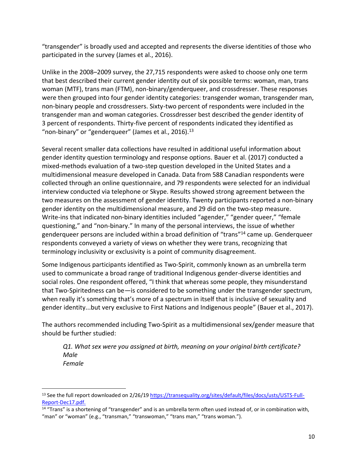"transgender" is broadly used and accepted and represents the diverse identities of those who participated in the survey (James et al., 2016).

 Unlike in the 2008–2009 survey, the 27,715 respondents were asked to choose only one term that best described their current gender identity out of six possible terms: woman, man, trans woman (MTF), trans man (FTM), non-binary/genderqueer, and crossdresser. These responses were then grouped into four gender identity categories: transgender woman, transgender man, non-binary people and crossdressers. Sixty-two percent of respondents were included in the transgender man and woman categories. Crossdresser best described the gender identity of 3 percent of respondents. Thirty-five percent of respondents indicated they identified as "non-binary" or "genderqueer" (James et al.,  $2016$ ).<sup>13</sup>

 Several recent smaller data collections have resulted in additional useful information about gender identity question terminology and response options. Bauer et al. (2017) conducted a mixed-methods evaluation of a two-step question developed in the United States and a multidimensional measure developed in Canada. Data from 588 Canadian respondents were collected through an online questionnaire, and 79 respondents were selected for an individual interview conducted via telephone or Skype. Results showed strong agreement between the two measures on the assessment of gender identity. Twenty participants reported a non-binary gender identity on the multidimensional measure, and 29 did on the two-step measure. Write-ins that indicated non-binary identities included "agender," "gender queer," "female questioning," and "non-binary." In many of the personal interviews, the issue of whether genderqueer persons are included within a broad definition of "trans"<sup>14</sup> came up. Genderqueer respondents conveyed a variety of views on whether they were trans, recognizing that terminology inclusivity or exclusivity is a point of community disagreement.

 Some Indigenous participants identified as Two-Spirit, commonly known as an umbrella term used to communicate a broad range of traditional Indigenous gender-diverse identities and that Two-Spiritedness can be—is considered to be something under the transgender spectrum, when really it's something that's more of a spectrum in itself that is inclusive of sexuality and gender identity...but very exclusive to First Nations and Indigenous people" (Bauer et al., 2017). social roles. One respondent offered, "I think that whereas some people, they misunderstand

 The authors recommended including Two-Spirit as a multidimensional sex/gender measure that should be further studied:

 *Q1. What sex were you assigned at birth, meaning on your original birth certificate? Male Female* 

<sup>&</sup>lt;sup>13</sup> See the full report downloaded on 2/26/19 https://transequality.org/sites/default/files/docs/usts/USTS-Full-<br>Report-Dec17.pdf.

<sup>&</sup>lt;sup>14</sup> "Trans" is a shortening of "transgender" and is an umbrella term often used instead of, or in combination with, "man" or "woman" (e.g., "transman," "transwoman," "trans man," "trans woman.").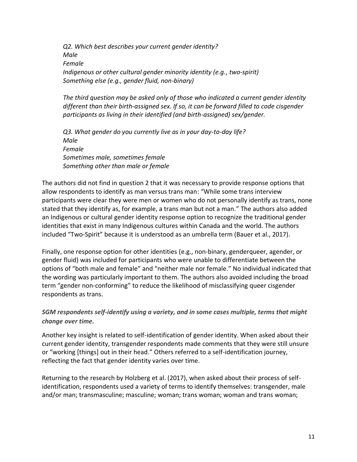*Q2. Which best describes your current gender identity? Indigenous or other cultural gender minority identity (e.g., two-spirit) Male Female Something else (e.g., gender fluid, non-binary)* 

 *The third question may be asked only of those who indicated a current gender identity different than their birth-assigned sex. If so, it can be forward filled to code cisgender participants as living in their identified (and birth-assigned) sex/gender.* 

 *Q3. What gender do you currently live as in your day-to-day life? Something other than male or female Male Female Sometimes male, sometimes female* 

 The authors did not find in question 2 that it was necessary to provide response options that allow respondents to identify as man versus trans man: "While some trans interview participants were clear they were men or women who do not personally identify as trans, none stated that they identify as, for example, a trans man but not a man." The authors also added an Indigenous or cultural gender identity response option to recognize the traditional gender identities that exist in many Indigenous cultures within Canada and the world. The authors included "Two-Spirit" because it is understood as an umbrella term (Bauer et al., 2017).

 Finally, one response option for other identities (e.g., non-binary, genderqueer, agender, or gender fluid) was included for participants who were unable to differentiate between the options of "both male and female" and "neither male nor female." No individual indicated that the wording was particularly important to them. The authors also avoided including the broad term "gender non-conforming" to reduce the likelihood of misclassifying queer cisgender respondents as trans.

#### *SGM respondents self-identify using a variety, and in some cases multiple, terms that might change over time.*

 Another key insight is related to self-identification of gender identity. When asked about their current gender identity, transgender respondents made comments that they were still unsure or "working [things] out in their head." Others referred to a self-identification journey, reflecting the fact that gender identity varies over time.

 Returning to the research by Holzberg et al. (2017), when asked about their process of self- identification, respondents used a variety of terms to identify themselves: transgender, male and/or man; transmasculine; masculine; woman; trans woman; woman and trans woman;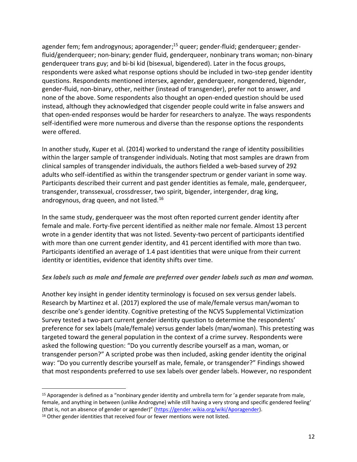agender fem; fem androgynous; aporagender;<sup>15</sup> queer; gender-fluid; genderqueer; gender- fluid/genderqueer; non-binary; gender fluid, genderqueer, nonbinary trans woman; non-binary genderqueer trans guy; and bi-bi kid (bisexual, bigendered). Later in the focus groups, respondents were asked what response options should be included in two-step gender identity gender-fluid, non-binary, other, neither (instead of transgender), prefer not to answer, and none of the above. Some respondents also thought an open-ended question should be used instead, although they acknowledged that cisgender people could write in false answers and that open-ended responses would be harder for researchers to analyze. The ways respondents self-identified were more numerous and diverse than the response options the respondents questions. Respondents mentioned intersex, agender, genderqueer, nongendered, bigender, were offered.

 In another study, Kuper et al. (2014) worked to understand the range of identity possibilities within the larger sample of transgender individuals. Noting that most samples are drawn from clinical samples of transgender individuals, the authors fielded a web-based survey of 292 adults who self-identified as within the transgender spectrum or gender variant in some way. Participants described their current and past gender identities as female, male, genderqueer, androgynous, drag queen, and not listed.<sup>16</sup> transgender, transsexual, crossdresser, two spirit, bigender, intergender, drag king,

 In the same study, genderqueer was the most often reported current gender identity after wrote in a gender identity that was not listed. Seventy-two percent of participants identified with more than one current gender identity, and 41 percent identified with more than two. Participants identified an average of 1.4 past identities that were unique from their current identity or identities, evidence that identity shifts over time. female and male. Forty-five percent identified as neither male nor female. Almost 13 percent

#### *Sex labels such as male and female are preferred over gender labels such as man and woman.*

 Another key insight in gender identity terminology is focused on sex versus gender labels. Research by Martinez et al. (2017) explored the use of male/female versus man/woman to describe one's gender identity. Cognitive pretesting of the NCVS Supplemental Victimization Survey tested a two-part current gender identity question to determine the respondents' preference for sex labels (male/female) versus gender labels (man/woman). This pretesting was targeted toward the general population in the context of a crime survey. Respondents were asked the following question: "Do you currently describe yourself as a man, woman, or transgender person?" A scripted probe was then included, asking gender identity the original way: "Do you currently describe yourself as male, female, or transgender?" Findings showed that most respondents preferred to use sex labels over gender labels. However, no respondent

<sup>&</sup>lt;sup>15</sup> Aporagender is defined as a "nonbinary gender identity and umbrella term for 'a gender separate from male, female, and anything in between (unlike Androgyne) while still having a very strong and specific gendered feeling' (that is, not an absence of gender or agender)" ([https://gender.wikia.org/wiki/Aporagender\)](https://gender.wikia.org/wiki/Aporagender).<br><sup>16</sup> Other gender identities that received four or fewer mentions were not listed.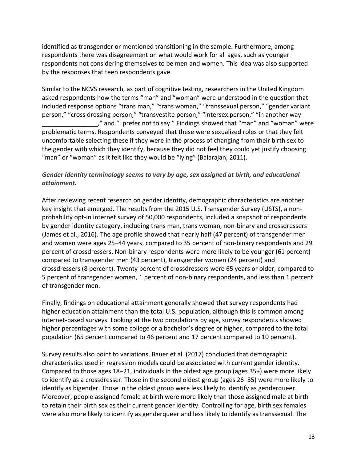identified as transgender or mentioned transitioning in the sample. Furthermore, among respondents there was disagreement on what would work for all ages, such as younger respondents not considering themselves to be men and women. This idea was also supported by the responses that teen respondents gave.

 Similar to the NCVS research, as part of cognitive testing, researchers in the United Kingdom asked respondents how the terms "man" and "woman" were understood in the question that person," "cross dressing person," "transvestite person," "intersex person," "in another way \_\_\_\_\_\_\_\_\_\_\_\_\_\_\_\_," and "I prefer not to say." Findings showed that "man" and "woman" were problematic terms. Respondents conveyed that these were sexualized roles or that they felt uncomfortable selecting these if they were in the process of changing from their birth sex to the gender with which they identify, because they did not feel they could yet justify choosing "man" or "woman" as it felt like they would be "lying" (Balarajan, 2011). included response options "trans man," "trans woman," "transsexual person," "gender variant

#### *Gender identity terminology seems to vary by age, sex assigned at birth, and educational attainment.*

 After reviewing recent research on gender identity, demographic characteristics are another key insight that emerged. The results from the 2015 U.S. Transgender Survey (USTS), a non- probability opt-in internet survey of 50,000 respondents, included a snapshot of respondents by gender identity category, including trans man, trans woman, non-binary and crossdressers (James et al., 2016). The age profile showed that nearly half (47 percent) of transgender men and women were ages 25–44 years, compared to 35 percent of non-binary respondents and 29 percent of crossdressers. Non-binary respondents were more likely to be younger (61 percent) compared to transgender men (43 percent), transgender women (24 percent) and crossdressers (8 percent). Twenty percent of crossdressers were 65 years or older, compared to 5 percent of transgender women, 1 percent of non-binary respondents, and less than 1 percent of transgender men.

 Finally, findings on educational attainment generally showed that survey respondents had higher education attainment than the total U.S. population, although this is common among internet-based surveys. Looking at the two populations by age, survey respondents showed higher percentages with some college or a bachelor's degree or higher, compared to the total population (65 percent compared to 46 percent and 17 percent compared to 10 percent).

 Survey results also point to variations. Bauer et al. (2017) concluded that demographic characteristics used in regression models could be associated with current gender identity. Compared to those ages 18–21, individuals in the oldest age group (ages 35+) were more likely to identify as a crossdresser. Those in the second oldest group (ages 26–35) were more likely to identify as bigender. Those in the oldest group were less likely to identify as genderqueer. Moreover, people assigned female at birth were more likely than those assigned male at birth to retain their birth sex as their current gender identity. Controlling for age, birth sex females were also more likely to identify as genderqueer and less likely to identify as transsexual. The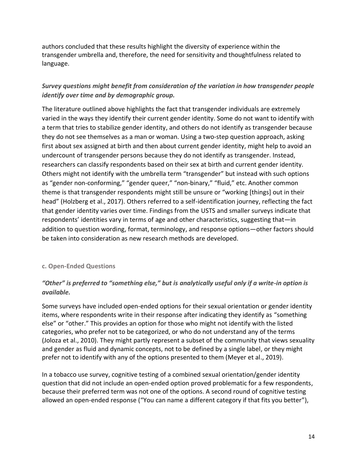transgender umbrella and, therefore, the need for sensitivity and thoughtfulness related to authors concluded that these results highlight the diversity of experience within the language.

## *Survey questions might benefit from consideration of the variation in how transgender people identify over time and by demographic group.*

 The literature outlined above highlights the fact that transgender individuals are extremely varied in the ways they identify their current gender identity. Some do not want to identify with a term that tries to stabilize gender identity, and others do not identify as transgender because they do not see themselves as a man or woman. Using a two-step question approach, asking first about sex assigned at birth and then about current gender identity, might help to avoid an undercount of transgender persons because they do not identify as transgender. Instead, researchers can classify respondents based on their sex at birth and current gender identity. Others might not identify with the umbrella term "transgender" but instead with such options as "gender non-conforming," "gender queer," "non-binary," "fluid," etc. Another common theme is that transgender respondents might still be unsure or "working [things] out in their head" (Holzberg et al., 2017). Others referred to a self-identification journey, reflecting the fact that gender identity varies over time. Findings from the USTS and smaller surveys indicate that respondents' identities vary in terms of age and other characteristics, suggesting that—in addition to question wording, format, terminology, and response options—other factors should be taken into consideration as new research methods are developed.

#### <span id="page-17-0"></span>**c. Open-Ended Questions**

## *"Other" is preferred to "something else," but is analytically useful only if a write-in option is available.*

 Some surveys have included open-ended options for their sexual orientation or gender identity items, where respondents write in their response after indicating they identify as "something else" or "other." This provides an option for those who might not identify with the listed categories, who prefer not to be categorized, or who do not understand any of the terms (Joloza et al., 2010). They might partly represent a subset of the community that views sexuality and gender as fluid and dynamic concepts, not to be defined by a single label, or they might prefer not to identify with any of the options presented to them (Meyer et al., 2019).

 In a tobacco use survey, cognitive testing of a combined sexual orientation/gender identity question that did not include an open-ended option proved problematic for a few respondents, because their preferred term was not one of the options. A second round of cognitive testing allowed an open-ended response ("You can name a different category if that fits you better"),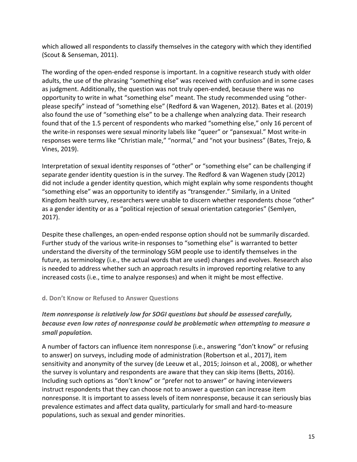which allowed all respondents to classify themselves in the category with which they identified (Scout & Senseman, 2011).

 The wording of the open-ended response is important. In a cognitive research study with older adults, the use of the phrasing "something else" was received with confusion and in some cases as judgment. Additionally, the question was not truly open-ended, because there was no opportunity to write in what "something else" meant. The study recommended using "other- please specify" instead of "something else" (Redford & van Wagenen, 2012). Bates et al. (2019) also found the use of "something else" to be a challenge when analyzing data. Their research found that of the 1.5 percent of respondents who marked "something else," only 16 percent of the write-in responses were sexual minority labels like "queer" or "pansexual." Most write-in responses were terms like "Christian male," "normal," and "not your business" (Bates, Trejo, & Vines, 2019).

 Interpretation of sexual identity responses of "other" or "something else" can be challenging if separate gender identity question is in the survey. The Redford & van Wagenen study (2012) did not include a gender identity question, which might explain why some respondents thought "something else" was an opportunity to identify as "transgender." Similarly, in a United Kingdom health survey, researchers were unable to discern whether respondents chose "other" as a gender identity or as a "political rejection of sexual orientation categories" (Semlyen, 2017).

 Despite these challenges, an open-ended response option should not be summarily discarded. Further study of the various write-in responses to "something else" is warranted to better understand the diversity of the terminology SGM people use to identify themselves in the future, as terminology (i.e., the actual words that are used) changes and evolves. Research also is needed to address whether such an approach results in improved reporting relative to any increased costs (i.e., time to analyze responses) and when it might be most effective.

#### <span id="page-18-0"></span> **d. Don't Know or Refused to Answer Questions**

## *Item nonresponse is relatively low for SOGI questions but should be assessed carefully, because even low rates of nonresponse could be problematic when attempting to measure a small population.*

 A number of factors can influence item nonresponse (i.e., answering "don't know" or refusing to answer) on surveys, including mode of administration (Robertson et al., 2017), item sensitivity and anonymity of the survey (de Leeuw et al., 2015; Joinson et al., 2008), or whether the survey is voluntary and respondents are aware that they can skip items (Betts, 2016). Including such options as "don't know" or "prefer not to answer" or having interviewers instruct respondents that they can choose not to answer a question can increase item nonresponse. It is important to assess levels of item nonresponse, because it can seriously bias prevalence estimates and affect data quality, particularly for small and hard-to-measure populations, such as sexual and gender minorities.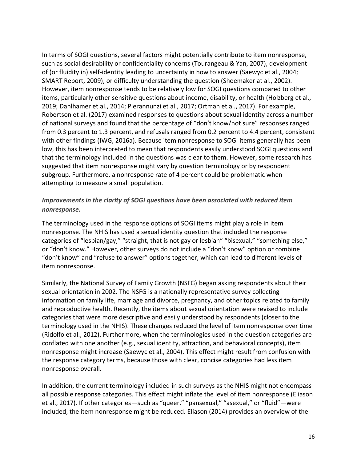In terms of SOGI questions, several factors might potentially contribute to item nonresponse, such as social desirability or confidentiality concerns (Tourangeau & Yan, 2007), development of (or fluidity in) self-identity leading to uncertainty in how to answer (Saewyc et al., 2004; SMART Report, 2009), or difficulty understanding the question (Shoemaker at al., 2002). However, item nonresponse tends to be relatively low for SOGI questions compared to other items, particularly other sensitive questions about income, disability, or health (Holzberg et al., Robertson et al. (2017) examined responses to questions about sexual identity across a number of national surveys and found that the percentage of "don't know/not sure" responses ranged from 0.3 percent to 1.3 percent, and refusals ranged from 0.2 percent to 4.4 percent, consistent with other findings (IWG, 2016a). Because item nonresponse to SOGI items generally has been low, this has been interpreted to mean that respondents easily understood SOGI questions and that the terminology included in the questions was clear to them. However, some research has suggested that item nonresponse might vary by question terminology or by respondent subgroup. Furthermore, a nonresponse rate of 4 percent could be problematic when attempting to measure a small population. 2019; Dahlhamer et al., 2014; Pierannunzi et al., 2017; Ortman et al., 2017). For example,

### *Improvements in the clarity of SOGI questions have been associated with reduced item nonresponse.*

 The terminology used in the response options of SOGI items might play a role in item nonresponse. The NHIS has used a sexual identity question that included the response categories of "lesbian/gay," "straight, that is not gay or lesbian" "bisexual," "something else," or "don't know." However, other surveys do not include a "don't know" option or combine "don't know" and "refuse to answer" options together, which can lead to different levels of item nonresponse.

 Similarly, the National Survey of Family Growth (NSFG) began asking respondents about their sexual orientation in 2002. The NSFG is a nationally representative survey collecting information on family life, marriage and divorce, pregnancy, and other topics related to family categories that were more descriptive and easily understood by respondents (closer to the terminology used in the NHIS). These changes reduced the level of item nonresponse over time (Ridolfo et al., 2012). Furthermore, when the terminologies used in the question categories are conflated with one another (e.g., sexual identity, attraction, and behavioral concepts), item nonresponse might increase (Saewyc et al., 2004). This effect might result from confusion with the response category terms, because those with clear, concise categories had less item and reproductive health. Recently, the items about sexual orientation were revised to include nonresponse overall.

 In addition, the current terminology included in such surveys as the NHIS might not encompass all possible response categories. This effect might inflate the level of item nonresponse (Eliason et al., 2017). If other categories—such as "queer," "pansexual," "asexual," or "fluid"—were included, the item nonresponse might be reduced. Eliason (2014) provides an overview of the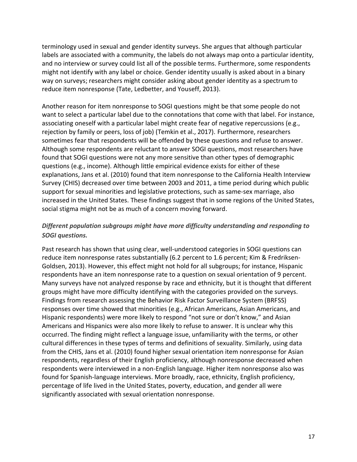terminology used in sexual and gender identity surveys. She argues that although particular labels are associated with a community, the labels do not always map onto a particular identity, and no interview or survey could list all of the possible terms. Furthermore, some respondents might not identify with any label or choice. Gender identity usually is asked about in a binary way on surveys; researchers might consider asking about gender identity as a spectrum to reduce item nonresponse (Tate, Ledbetter, and Youseff, 2013).

 Another reason for item nonresponse to SOGI questions might be that some people do not want to select a particular label due to the connotations that come with that label. For instance, associating oneself with a particular label might create fear of negative repercussions (e.g., rejection by family or peers, loss of job) (Temkin et al., 2017). Furthermore, researchers sometimes fear that respondents will be offended by these questions and refuse to answer. Although some respondents are reluctant to answer SOGI questions, most researchers have found that SOGI questions were not any more sensitive than other types of demographic questions (e.g., income). Although little empirical evidence exists for either of these explanations, Jans et al. (2010) found that item nonresponse to the California Health Interview Survey (CHIS) decreased over time between 2003 and 2011, a time period during which public support for sexual minorities and legislative protections, such as same-sex marriage, also increased in the United States. These findings suggest that in some regions of the United States, social stigma might not be as much of a concern moving forward.

### *Different population subgroups might have more difficulty understanding and responding to SOGI questions.*

 Past research has shown that using clear, well-understood categories in SOGI questions can reduce item nonresponse rates substantially (6.2 percent to 1.6 percent; Kim & Fredriksen- Goldsen, 2013). However, this effect might not hold for all subgroups; for instance, Hispanic respondents have an item nonresponse rate to a question on sexual orientation of 9 percent. Many surveys have not analyzed response by race and ethnicity, but it is thought that different groups might have more difficulty identifying with the categories provided on the surveys. Findings from research assessing the Behavior Risk Factor Surveillance System (BRFSS) responses over time showed that minorities (e.g., African Americans, Asian Americans, and Hispanic respondents) were more likely to respond "not sure or don't know," and Asian Americans and Hispanics were also more likely to refuse to answer. It is unclear why this occurred. The finding might reflect a language issue, unfamiliarity with the terms, or other cultural differences in these types of terms and definitions of sexuality. Similarly, using data from the CHIS, Jans et al. (2010) found higher sexual orientation item nonresponse for Asian respondents, regardless of their English proficiency, although nonresponse decreased when respondents were interviewed in a non-English language. Higher item nonresponse also was found for Spanish-language interviews. More broadly, race, ethnicity, English proficiency, percentage of life lived in the United States, poverty, education, and gender all were significantly associated with sexual orientation nonresponse.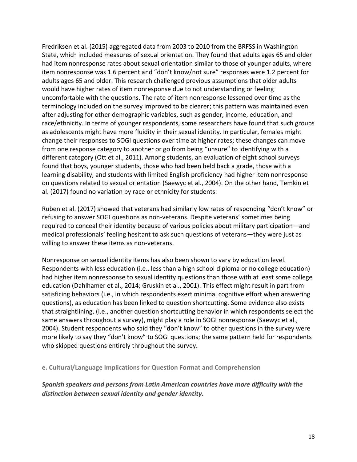Fredriksen et al. (2015) aggregated data from 2003 to 2010 from the BRFSS in Washington State, which included measures of sexual orientation. They found that adults ages 65 and older had item nonresponse rates about sexual orientation similar to those of younger adults, where adults ages 65 and older. This research challenged previous assumptions that older adults would have higher rates of item nonresponse due to not understanding or feeling uncomfortable with the questions. The rate of item nonresponse lessened over time as the terminology included on the survey improved to be clearer; this pattern was maintained even after adjusting for other demographic variables, such as gender, income, education, and race/ethnicity. In terms of younger respondents, some researchers have found that such groups as adolescents might have more fluidity in their sexual identity. In particular, females might change their responses to SOGI questions over time at higher rates; these changes can move from one response category to another or go from being "unsure" to identifying with a different category (Ott et al., 2011). Among students, an evaluation of eight school surveys found that boys, younger students, those who had been held back a grade, those with a learning disability, and students with limited English proficiency had higher item nonresponse on questions related to sexual orientation (Saewyc et al., 2004). On the other hand, Temkin et al. (2017) found no variation by race or ethnicity for students. item nonresponse was 1.6 percent and "don't know/not sure" responses were 1.2 percent for

 Ruben et al. (2017) showed that veterans had similarly low rates of responding "don't know" or refusing to answer SOGI questions as non-veterans. Despite veterans' sometimes being required to conceal their identity because of various policies about military participation—and medical professionals' feeling hesitant to ask such questions of veterans—they were just as willing to answer these items as non-veterans.

 Nonresponse on sexual identity items has also been shown to vary by education level. Respondents with less education (i.e., less than a high school diploma or no college education) had higher item nonresponse to sexual identity questions than those with at least some college education (Dahlhamer et al., 2014; Gruskin et al., 2001). This effect might result in part from satisficing behaviors (i.e., in which respondents exert minimal cognitive effort when answering questions), as education has been linked to question shortcutting. Some evidence also exists that straightlining, (i.e., another question shortcutting behavior in which respondents select the same answers throughout a survey), might play a role in SOGI nonresponse (Saewyc et al., 2004). Student respondents who said they "don't know" to other questions in the survey were more likely to say they "don't know" to SOGI questions; the same pattern held for respondents who skipped questions entirely throughout the survey.

<span id="page-21-0"></span> **e. Cultural/Language Implications for Question Format and Comprehension** 

 *Spanish speakers and persons from Latin American countries have more difficulty with the distinction between sexual identity and gender identity.*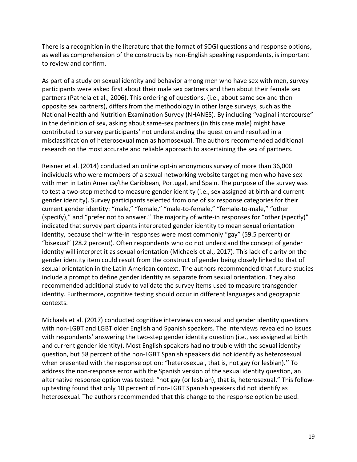There is a recognition in the literature that the format of SOGI questions and response options, as well as comprehension of the constructs by non-English speaking respondents, is important to review and confirm.

 As part of a study on sexual identity and behavior among men who have sex with men, survey participants were asked first about their male sex partners and then about their female sex partners (Pathela et al., 2006). This ordering of questions, (i.e., about same sex and then opposite sex partners), differs from the methodology in other large surveys, such as the National Health and Nutrition Examination Survey (NHANES). By including "vaginal intercourse" in the definition of sex, asking about same-sex partners (in this case male) might have contributed to survey participants' not understanding the question and resulted in a misclassification of heterosexual men as homosexual. The authors recommended additional research on the most accurate and reliable approach to ascertaining the sex of partners.

 Reisner et al. (2014) conducted an online opt-in anonymous survey of more than 36,000 individuals who were members of a sexual networking website targeting men who have sex with men in Latin America/the Caribbean, Portugal, and Spain. The purpose of the survey was to test a two-step method to measure gender identity (i.e., sex assigned at birth and current gender identity). Survey participants selected from one of six response categories for their current gender identity: "male," "female," "male-to-female," "female-to-male," "other (specify)," and "prefer not to answer." The majority of write-in responses for "other (specify)" indicated that survey participants interpreted gender identity to mean sexual orientation identity, because their write-in responses were most commonly "gay" (59.5 percent) or "bisexual" (28.2 percent). Often respondents who do not understand the concept of gender identity will interpret it as sexual orientation (Michaels et al., 2017). This lack of clarity on the gender identity item could result from the construct of gender being closely linked to that of sexual orientation in the Latin American context. The authors recommended that future studies include a prompt to define gender identity as separate from sexual orientation. They also recommended additional study to validate the survey items used to measure transgender identity. Furthermore, cognitive testing should occur in different languages and geographic contexts.

 Michaels et al. (2017) conducted cognitive interviews on sexual and gender identity questions with non-LGBT and LGBT older English and Spanish speakers. The interviews revealed no issues with respondents' answering the two-step gender identity question (i.e., sex assigned at birth and current gender identity). Most English speakers had no trouble with the sexual identity question, but 58 percent of the non-LGBT Spanish speakers did not identify as heterosexual when presented with the response option: "heterosexual, that is, not gay (or lesbian).'' To address the non-response error with the Spanish version of the sexual identity question, an alternative response option was tested: "not gay (or lesbian), that is, heterosexual." This follow- up testing found that only 10 percent of non-LGBT Spanish speakers did not identify as heterosexual. The authors recommended that this change to the response option be used.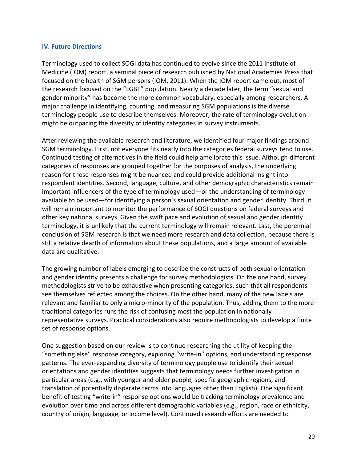#### <span id="page-23-0"></span>**IV. Future Directions**

 Terminology used to collect SOGI data has continued to evolve since the 2011 Institute of Medicine (IOM) report, a seminal piece of research published by National Academies Press that focused on the health of SGM persons (IOM, 2011). When the IOM report came out, most of the research focused on the "LGBT" population. Nearly a decade later, the term "sexual and gender minority" has become the more common vocabulary, especially among researchers. A major challenge in identifying, counting, and measuring SGM populations is the diverse terminology people use to describe themselves. Moreover, the rate of terminology evolution might be outpacing the diversity of identity categories in survey instruments.

 After reviewing the available research and literature, we identified four major findings around SGM terminology. First, not everyone fits neatly into the categories federal surveys tend to use. Continued testing of alternatives in the field could help ameliorate this issue. Although different categories of responses are grouped together for the purposes of analysis, the underlying reason for those responses might be nuanced and could provide additional insight into respondent identities. Second, language, culture, and other demographic characteristics remain important influencers of the type of terminology used—or the understanding of terminology available to be used—for identifying a person's sexual orientation and gender identity. Third, it will remain important to monitor the performance of SOGI questions on federal surveys and other key national surveys. Given the swift pace and evolution of sexual and gender identity terminology, it is unlikely that the current terminology will remain relevant. Last, the perennial conclusion of SGM research is that we need more research and data collection, because there is still a relative dearth of information about these populations, and a large amount of available data are qualitative.

 The growing number of labels emerging to describe the constructs of both sexual orientation and gender identity presents a challenge for survey methodologists. On the one hand, survey see themselves reflected among the choices. On the other hand, many of the new labels are relevant and familiar to only a micro-minority of the population. Thus, adding them to the more traditional categories runs the risk of confusing most the population in nationally representative surveys. Practical considerations also require methodologists to develop a finite methodologists strive to be exhaustive when presenting categories, such that all respondents set of response options.

 One suggestion based on our review is to continue researching the utility of keeping the patterns. The ever-expanding diversity of terminology people use to identify their sexual orientations and gender identities suggests that terminology needs further investigation in particular areas (e.g., with younger and older people, specific geographic regions, and translation of potentially disparate terms into languages other than English). One significant benefit of testing "write-in" response options would be tracking terminology prevalence and evolution over time and across different demographic variables (e.g., region, race or ethnicity, country of origin, language, or income level). Continued research efforts are needed to "something else" response category, exploring "write-in" options, and understanding response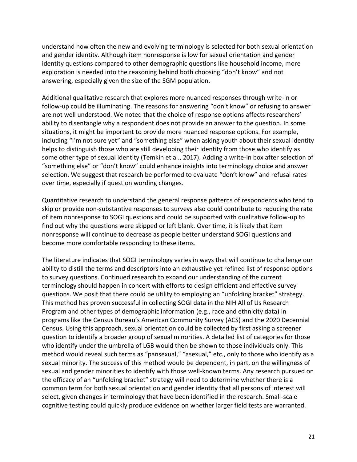understand how often the new and evolving terminology is selected for both sexual orientation and gender identity. Although item nonresponse is low for sexual orientation and gender identity questions compared to other demographic questions like household income, more exploration is needed into the reasoning behind both choosing "don't know" and not answering, especially given the size of the SGM population.

 Additional qualitative research that explores more nuanced responses through write-in or follow-up could be illuminating. The reasons for answering "don't know" or refusing to answer ability to disentangle why a respondent does not provide an answer to the question. In some including "I'm not sure yet" and "something else" when asking youth about their sexual identity helps to distinguish those who are still developing their identity from those who identify as some other type of sexual identity (Temkin et al., 2017). Adding a write-in box after selection of "something else" or "don't know" could enhance insights into terminology choice and answer over time, especially if question wording changes. are not well understood. We noted that the choice of response options affects researchers' situations, it might be important to provide more nuanced response options. For example, selection. We suggest that research be performed to evaluate "don't know" and refusal rates

 Quantitative research to understand the general response patterns of respondents who tend to skip or provide non-substantive responses to surveys also could contribute to reducing the rate of item nonresponse to SOGI questions and could be supported with qualitative follow-up to find out why the questions were skipped or left blank. Over time, it is likely that item nonresponse will continue to decrease as people better understand SOGI questions and become more comfortable responding to these items.

 The literature indicates that SOGI terminology varies in ways that will continue to challenge our ability to distill the terms and descriptors into an exhaustive yet refined list of response options to survey questions. Continued research to expand our understanding of the current terminology should happen in concert with efforts to design efficient and effective survey questions. We posit that there could be utility to employing an "unfolding bracket" strategy. This method has proven successful in collecting SOGI data in the NIH All of Us Research Program and other types of demographic information (e.g., race and ethnicity data) in programs like the Census Bureau's American Community Survey (ACS) and the 2020 Decennial Census. Using this approach, sexual orientation could be collected by first asking a screener question to identify a broader group of sexual minorities. A detailed list of categories for those who identify under the umbrella of LGB would then be shown to those individuals only. This method would reveal such terms as "pansexual," "asexual," etc., only to those who identify as a sexual minority. The success of this method would be dependent, in part, on the willingness of sexual and gender minorities to identify with those well-known terms. Any research pursued on the efficacy of an "unfolding bracket" strategy will need to determine whether there is a common term for both sexual orientation and gender identity that all persons of interest will select, given changes in terminology that have been identified in the research. Small-scale cognitive testing could quickly produce evidence on whether larger field tests are warranted.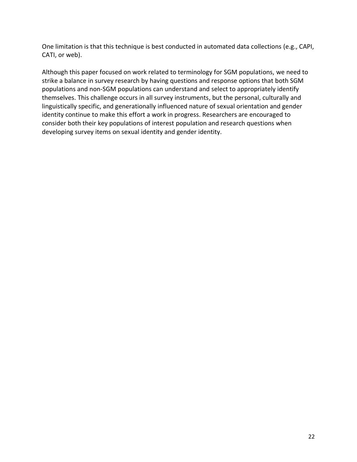One limitation is that this technique is best conducted in automated data collections (e.g., CAPI, CATI, or web).

 Although this paper focused on work related to terminology for SGM populations, we need to strike a balance in survey research by having questions and response options that both SGM populations and non-SGM populations can understand and select to appropriately identify themselves. This challenge occurs in all survey instruments, but the personal, culturally and linguistically specific, and generationally influenced nature of sexual orientation and gender identity continue to make this effort a work in progress. Researchers are encouraged to consider both their key populations of interest population and research questions when developing survey items on sexual identity and gender identity.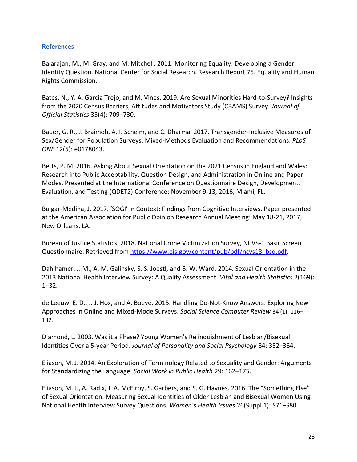#### **References**

 Balarajan, M., M. Gray, and M. Mitchell. 2011. Monitoring Equality: Developing a Gender Identity Question. National Center for Social Research. Research Report 75. Equality and Human Rights Commission.

 Bates, N., Y. A. Garcia Trejo, and M. Vines. 2019. Are Sexual Minorities Hard-to-Survey? Insights from the 2020 Census Barriers, Attitudes and Motivators Study (CBAMS) Survey. *Journal of Official Statistics* 35(4): 709–730.

 Bauer, G. R., J. Braimoh, A. I. Scheim, and C. Dharma. 2017. Transgender-Inclusive Measures of Sex/Gender for Population Surveys: Mixed-Methods Evaluation and Recommendations. *PLoS ONE* 12(5): e0178043.

 Betts, P. M. 2016. Asking About Sexual Orientation on the 2021 Census in England and Wales: Research into Public Acceptability, Question Design, and Administration in Online and Paper Evaluation, and Testing (QDET2) Conference: November 9-13, 2016, Miami, FL. Modes. Presented at the International Conference on Questionnaire Design, Development,

 Bulgar-Medina, J. 2017. 'SOGI' in Context: Findings from Cognitive Interviews. Paper presented at the American Association for Public Opinion Research Annual Meeting: May 18-21, 2017, New Orleans, LA.

 Bureau of Justice Statistics. 2018. National Crime Victimization Survey, NCVS-1 Basic Screen Questionnaire. Retrieved from [https://www.bjs.gov/content/pub/pdf/ncvs18\\_bsq.pdf.](https://www.bjs.gov/content/pub/pdf/ncvs18_bsq.pdf)

 Dahlhamer, J. M., A. M. Galinsky, S. S. Joestl, and B. W. Ward. 2014. Sexual Orientation in the 2013 National Health Interview Survey: A Quality Assessment. *Vital and Health Statistics* 2(169): 1–32.

 de Leeuw, E. D., J. J. Hox, and A. Boevé. 2015. Handling Do-Not-Know Answers: Exploring New Approaches in Online and Mixed-Mode Surveys. *Social Science Computer Review* 34 (1): 116– 132.

 Diamond, L. 2003. Was it a Phase? Young Women's Relinquishment of Lesbian/Bisexual Identities Over a 5-year Period. *Journal of Personality and Social Psychology* 84: 352–364.

 Eliason, M. J. 2014. An Exploration of Terminology Related to Sexuality and Gender: Arguments  for Standardizing the Language. *Social Work in Public Health* 29: 162–175.

 of Sexual Orientation: Measuring Sexual Identities of Older Lesbian and Bisexual Women Using National Health Interview Survey Questions. *Women's Health Issues* 26(Suppl 1): S71–S80. Eliason, M. J., A. Radix, J. A. McElroy, S. Garbers, and S. G. Haynes. 2016. The "Something Else"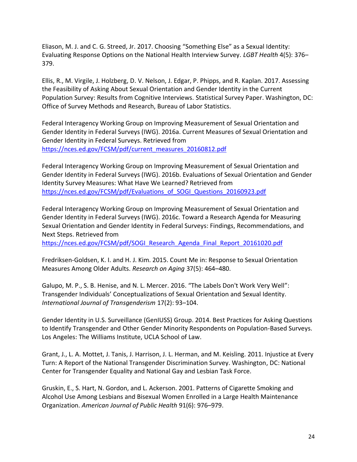Evaluating Response Options on the National Health Interview Survey. *LGBT Health* 4(5): 376– Eliason, M. J. and C. G. Streed, Jr. 2017. Choosing "Something Else" as a Sexual Identity: 379.

 Ellis, R., M. Virgile, J. Holzberg, D. V. Nelson, J. Edgar, P. Phipps, and R. Kaplan. 2017. Assessing the Feasibility of Asking About Sexual Orientation and Gender Identity in the Current Office of Survey Methods and Research, Bureau of Labor Statistics. Population Survey: Results from Cognitive Interviews. Statistical Survey Paper. Washington, DC:

 Federal Interagency Working Group on Improving Measurement of Sexual Orientation and Gender Identity in Federal Surveys (IWG). 2016a. Current Measures of Sexual Orientation and Gender Identity in Federal Surveys. Retrieved from [https://nces.ed.gov/FCSM/pdf/current\\_measures\\_20160812.pdf](https://nces.ed.gov/FCSM/pdf/current_measures_20160812.pdf) 

 Federal Interagency Working Group on Improving Measurement of Sexual Orientation and Gender Identity in Federal Surveys (IWG). 2016b. Evaluations of Sexual Orientation and Gender Identity Survey Measures: What Have We Learned? Retrieved from [https://nces.ed.gov/FCSM/pdf/Evaluations\\_of\\_SOGI\\_Questions\\_20160923.pdf](https://nces.ed.gov/FCSM/pdf/Evaluations_of_SOGI_Questions_20160923.pdf) 

 Federal Interagency Working Group on Improving Measurement of Sexual Orientation and Gender Identity in Federal Surveys (IWG). 2016c. Toward a Research Agenda for Measuring Sexual Orientation and Gender Identity in Federal Surveys: Findings, Recommendations, and Next Steps. Retrieved from

[https://nces.ed.gov/FCSM/pdf/SOGI\\_Research\\_Agenda\\_Final\\_Report\\_20161020.pdf](https://nces.ed.gov/FCSM/pdf/SOGI_Research_Agenda_Final_Report_20161020.pdf) 

 Measures Among Older Adults. *Research on Aging* 37(5): 464–480. Fredriksen-Goldsen, K. I. and H. J. Kim. 2015. Count Me in: Response to Sexual Orientation

 Galupo, M. P., S. B. Henise, and N. L. Mercer. 2016. "The Labels Don't Work Very Well": Transgender Individuals' Conceptualizations of Sexual Orientation and Sexual Identity. *International Journal of Transgenderism* 17(2): 93–104.

 Gender Identity in U.S. Surveillance (GenIUSS) Group. 2014. Best Practices for Asking Questions to Identify Transgender and Other Gender Minority Respondents on Population-Based Surveys. Los Angeles: The Williams Institute, UCLA School of Law.

 Turn: A Report of the National Transgender Discrimination Survey. Washington, DC: National Center for Transgender Equality and National Gay and Lesbian Task Force. Grant, J., L. A. Mottet, J. Tanis, J. Harrison, J. L. Herman, and M. Keisling. 2011. Injustice at Every

 Gruskin, E., S. Hart, N. Gordon, and L. Ackerson. 2001. Patterns of Cigarette Smoking and Alcohol Use Among Lesbians and Bisexual Women Enrolled in a Large Health Maintenance  Organization. *American Journal of Public Health* 91(6): 976–979.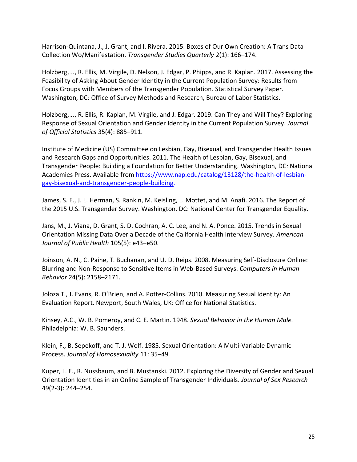Harrison-Quintana, J., J. Grant, and I. Rivera. 2015. Boxes of Our Own Creation: A Trans Data  Collection Wo/Manifestation. *Transgender Studies Quarterly* 2(1): 166–174.

 Holzberg, J., R. Ellis, M. Virgile, D. Nelson, J. Edgar, P. Phipps, and R. Kaplan. 2017. Assessing the Feasibility of Asking About Gender Identity in the Current Population Survey: Results from Focus Groups with Members of the Transgender Population. Statistical Survey Paper. Washington, DC: Office of Survey Methods and Research, Bureau of Labor Statistics.

 Holzberg, J., R. Ellis, R. Kaplan, M. Virgile, and J. Edgar. 2019. Can They and Will They? Exploring Response of Sexual Orientation and Gender Identity in the Current Population Survey. *Journal of Official Statistics* 35(4): 885–911.

 Institute of Medicine (US) Committee on Lesbian, Gay, Bisexual, and Transgender Health Issues and Research Gaps and Opportunities. 2011. The Health of Lesbian, Gay, Bisexual, and Transgender People: Building a Foundation for Better Understanding. Washington, DC*:* National Academies Press. Available from [https://www.nap.edu/catalog/13128/the-health-of-lesbian](https://www.nap.edu/catalog/13128/the-health-of-lesbian-gay-bisexual-and-transgender-people-building)[gay-bisexual-and-transgender-people-building.](https://www.nap.edu/catalog/13128/the-health-of-lesbian-gay-bisexual-and-transgender-people-building)

 the 2015 U.S. Transgender Survey. Washington, DC: National Center for Transgender Equality. James, S. E., J. L. Herman, S. Rankin, M. Keisling, L. Mottet, and M. Anafi. 2016. The Report of

 Jans, M., J. Viana, D. Grant, S. D. Cochran, A. C. Lee, and N. A. Ponce. 2015. Trends in Sexual Orientation Missing Data Over a Decade of the California Health Interview Survey. *American Journal of Public Health* 105(5): e43–e50.

 Blurring and Non-Response to Sensitive Items in Web-Based Surveys. *Computers in Human*  Joinson, A. N., C. Paine, T. Buchanan, and U. D. Reips. 2008. Measuring Self-Disclosure Online: *Behavior* 24(5): 2158–2171.

 Joloza T., J. Evans, R. O'Brien, and A. Potter-Collins. 2010. Measuring Sexual Identity: An Evaluation Report. Newport, South Wales, UK: Office for National Statistics.

 Kinsey, A.C., W. B. Pomeroy, and C. E. Martin. 1948. *Sexual Behavior in the Human Male.*  Philadelphia: W. B. Saunders.

Klein, F., B. Sepekoff, and T. J. Wolf. 1985. Sexual Orientation: A Multi-Variable Dynamic Process. *Journal of Homosexuality* 11: 35–49.

 Kuper, L. E., R. Nussbaum, and B. Mustanski. 2012. Exploring the Diversity of Gender and Sexual Orientation Identities in an Online Sample of Transgender Individuals. *Journal of Sex Research*  49(2-3): 244–254.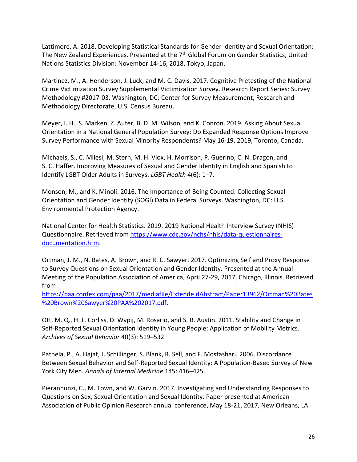Lattimore, A. 2018. Developing Statistical Standards for Gender Identity and Sexual Orientation: The New Zealand Experiences. Presented at the 7<sup>th</sup> Global Forum on Gender Statistics, United Nations Statistics Division: November 14-16, 2018, Tokyo, Japan.

 Martinez, M., A. Henderson, J. Luck, and M. C. Davis. 2017. Cognitive Pretesting of the National Crime Victimization Survey Supplemental Victimization Survey. Research Report Series: Survey Methodology #2017-03. Washington, DC: Center for Survey Measurement, Research and Methodology Directorate, U.S. Census Bureau.

 Orientation in a National General Population Survey: Do Expanded Response Options Improve Survey Performance with Sexual Minority Respondents? May 16-19, 2019, Toronto, Canada. Meyer, I. H., S. Marken, Z. Auter, B. D. M. Wilson, and K. Conron. 2019. Asking About Sexual

 S. C. Haffer. Improving Measures of Sexual and Gender Identity in English and Spanish to Identify LGBT Older Adults in Surveys. *LGBT Health* 4(6): 1–7. Michaels, S., C. Milesi, M. Stern, M. H. Viox, H. Morrison, P. Guerino, C. N. Dragon, and

 Monson, M., and K. Minoli. 2016. The Importance of Being Counted: Collecting Sexual Orientation and Gender Identity (SOGI) Data in Federal Surveys. Washington, DC: U.S. Environmental Protection Agency.

 National Center for Health Statistics. 2019. 2019 National Health Interview Survey (NHIS) Questionnaire. Retrieved from [https://www.cdc.gov/nchs/nhis/data-questionnaires](https://www.cdc.gov/nchs/nhis/data-questionnaires-documentation.htm)[documentation.htm.](https://www.cdc.gov/nchs/nhis/data-questionnaires-documentation.htm)

 Ortman, J. M., N. Bates, A. Brown, and R. C. Sawyer. 2017. Optimizing Self and Proxy Response to Survey Questions on Sexual Orientation and Gender Identity. Presented at the Annual Meeting of the Population Association of America, April 27-29, 2017, Chicago, Illinois. Retrieved from

[https://paa.confex.com/paa/2017/mediafile/Extende.dAbstract/Paper13962/Ortman%20Bates](https://paa.confex.com/paa/2017/mediafile/ExtendedAbstract/Paper13962/Ortman%20Bates%20Brown%20Sawyer%20PAA%202017.pdf)  [%20Brown%20Sawyer%20PAA%202017.pdf.](https://paa.confex.com/paa/2017/mediafile/ExtendedAbstract/Paper13962/Ortman%20Bates%20Brown%20Sawyer%20PAA%202017.pdf)

 Ott, M. Q., H. L. Corliss, D. Wypij, M. Rosario, and S. B. Austin. 2011. Stability and Change in Self-Reported Sexual Orientation Identity in Young People: Application of Mobility Metrics.  *Archives of Sexual Behavior* 40(3): 519–532.

 Pathela, P., A. Hajat, J. Schillinger, S. Blank, R. Sell, and F. Mostashari. 2006. Discordance Between Sexual Behavior and Self-Reported Sexual Identity: A Population-Based Survey of New  York City Men. *Annals of Internal Medicine* 145: 416–425.

 Pierannunzi, C., M. Town, and W. Garvin. 2017. Investigating and Understanding Responses to Questions on Sex, Sexual Orientation and Sexual Identity. Paper presented at American Association of Public Opinion Research annual conference, May 18-21, 2017, New Orleans, LA.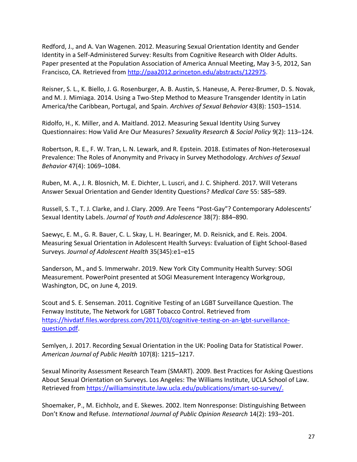Redford, J., and A. Van Wagenen. 2012. Measuring Sexual Orientation Identity and Gender Identity in a Self-Administered Survey: Results from Cognitive Research with Older Adults. Paper presented at the Population Association of America Annual Meeting, May 3-5, 2012, San Francisco, CA. Retrieved from [http://paa2012.princeton.edu/abstracts/122975.](http://paa2012.princeton.edu/abstracts/122975)

 and M. J. Mimiaga. 2014. Using a Two-Step Method to Measure Transgender Identity in Latin  America/the Caribbean, Portugal, and Spain. *Archives of Sexual Behavior* 43(8): 1503–1514. Reisner, S. L., K. Biello, J. G. Rosenburger, A. B. Austin, S. Haneuse, A. Perez-Brumer, D. S. Novak,

 Ridolfo, H., K. Miller, and A. Maitland. 2012. Measuring Sexual Identity Using Survey Questionnaires: How Valid Are Our Measures? *Sexuality Research & Social Policy* 9(2): 113–124.

 Robertson, R. E., F. W. Tran, L. N. Lewark, and R. Epstein. 2018. Estimates of Non-Heterosexual Prevalence: The Roles of Anonymity and Privacy in Survey Methodology. *Archives of Sexual Behavior* 47(4): 1069–1084.

 Answer Sexual Orientation and Gender Identity Questions? *Medical Care* 55: S85–S89. Ruben, M. A., J. R. Blosnich, M. E. Dichter, L. Luscri, and J. C. Shipherd. 2017. Will Veterans

 Sexual Identity Labels. *Journal of Youth and Adolescence* 38(7): 884–890. Russell, S. T., T. J. Clarke, and J. Clary. 2009. Are Teens "Post-Gay"? Contemporary Adolescents'

 Measuring Sexual Orientation in Adolescent Health Surveys: Evaluation of Eight School-Based Saewyc, E. M., G. R. Bauer, C. L. Skay, L. H. Bearinger, M. D. Reisnick, and E. Reis. 2004. Surveys. *Journal of Adolescent Health* 35(345):e1–e15

 Sanderson, M., and S. Immerwahr. 2019. New York City Community Health Survey: SOGI Measurement. PowerPoint presented at SOGI Measurement Interagency Workgroup, Washington, DC, on June 4, 2019.

 Scout and S. E. Senseman. 2011. Cognitive Testing of an LGBT Surveillance Question. The Fenway Institute, The Network for LGBT Tobacco Control. Retrieved from [https://hivdatf.files.wordpress.com/2011/03/cognitive-testing-on-an-lgbt-surveillance](https://hivdatf.files.wordpress.com/2011/03/cognitive-testing-on-an-lgbt-surveillance-question.pdf)[question.pdf.](https://hivdatf.files.wordpress.com/2011/03/cognitive-testing-on-an-lgbt-surveillance-question.pdf)

 Semlyen, J. 2017. Recording Sexual Orientation in the UK: Pooling Data for Statistical Power.  *American Journal of Public Health* 107(8): 1215–1217.

 Sexual Minority Assessment Research Team (SMART). 2009. Best Practices for Asking Questions About Sexual Orientation on Surveys. Los Angeles: The Williams Institute, UCLA School of Law. Retrieved from [https://williamsinstitute.law.ucla.edu/publications/smart-so-survey/.](https://williamsinstitute.law.ucla.edu/publications/smart-so-survey/)

 Shoemaker, P., M. Eichholz, and E. Skewes. 2002. Item Nonresponse: Distinguishing Between Don't Know and Refuse. *International Journal of Public Opinion Research* 14(2): 193–201.